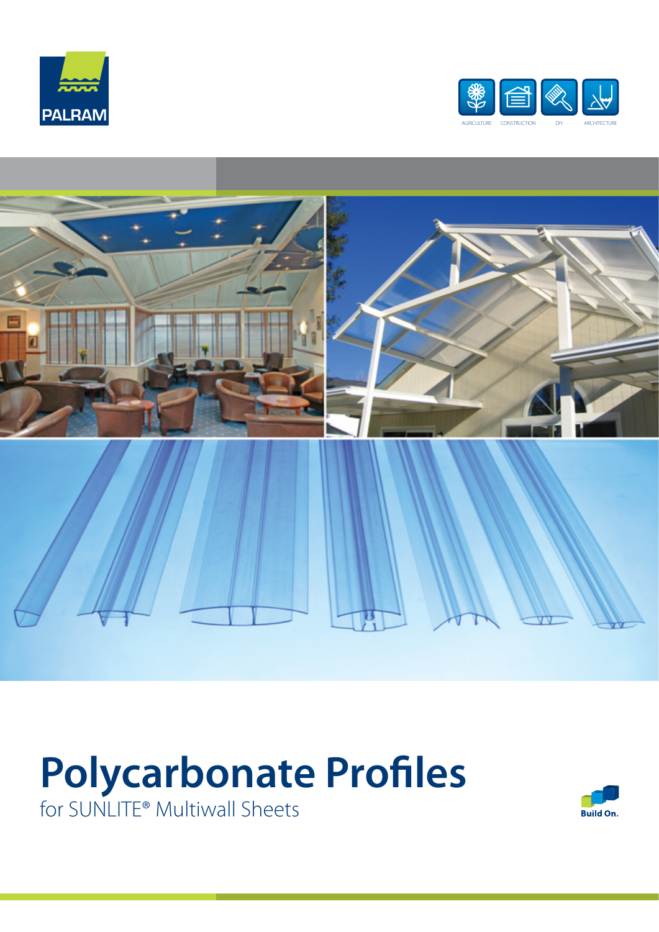





## **Polycarbonate Profiles**

for SUNLITE® Multiwall Sheets

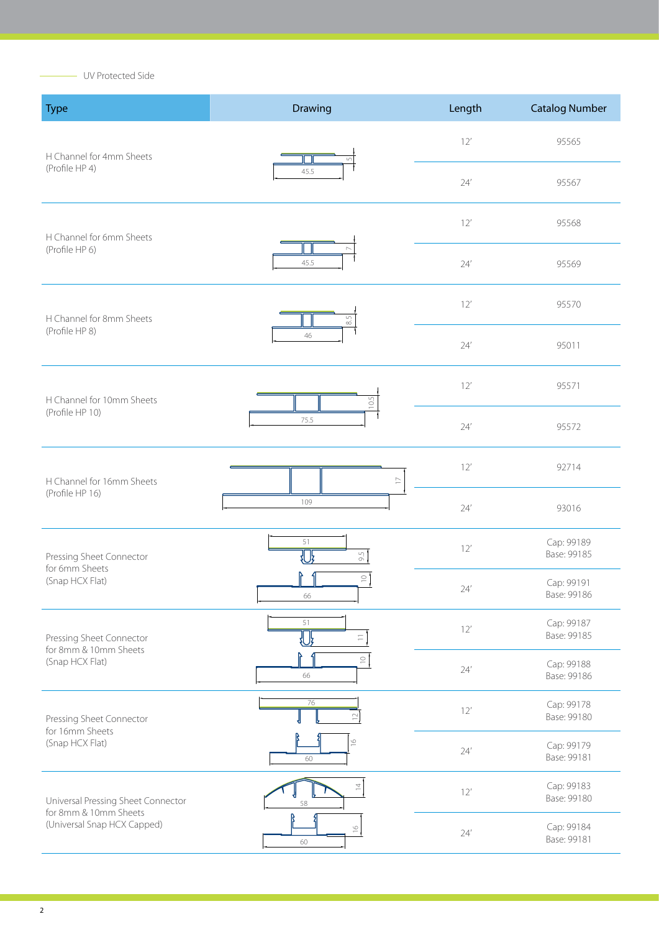UV Protected Side

ł.

| <b>Type</b>                                          | Drawing                      | Length        | <b>Catalog Number</b>     |
|------------------------------------------------------|------------------------------|---------------|---------------------------|
| H Channel for 4mm Sheets                             | $\sqrt{2}$                   | 12'           | 95565                     |
| (Profile HP 4)                                       | 45.5                         | 24'           | 95567                     |
| H Channel for 6mm Sheets                             |                              | 12'           | 95568                     |
| (Profile HP 6)                                       | 45.5                         | 24'           | 95569                     |
| H Channel for 8mm Sheets                             | $\mathbb{S}^5$<br>46         | 12'           | 95570                     |
| (Profile HP 8)                                       |                              | 24'           | 95011                     |
| H Channel for 10mm Sheets                            | 10.5                         | 12'           | 95571                     |
| (Profile HP 10)                                      | 75.5                         | 24'           | 95572                     |
| H Channel for 16mm Sheets                            | $\mathrel{\sqsubset}$<br>109 | 12'           | 92714                     |
| (Profile HP 16)                                      |                              | 24'           | 93016                     |
| Pressing Sheet Connector                             | 51<br>9.5<br>们               | 12'           | Cap: 99189<br>Base: 99185 |
| for 6mm Sheets<br>(Snap HCX Flat)                    | $\supseteq$<br>66            | $24^{\prime}$ | Cap: 99191<br>Base: 99186 |
| Pressing Sheet Connector                             | 51<br>$\equiv$<br>们          | 12'           | Cap: 99187<br>Base: 99185 |
| for 8mm & 10mm Sheets<br>(Snap HCX Flat)             | $\subseteq$<br>66            | 24'           | Cap: 99188<br>Base: 99186 |
| Pressing Sheet Connector                             | 76<br>$\supseteq$            | 12'           | Cap: 99178<br>Base: 99180 |
| for 16mm Sheets<br>(Snap HCX Flat)                   | $\frac{1}{2}$<br>60          | 24'           | Cap: 99179<br>Base: 99181 |
| Universal Pressing Sheet Connector                   | $\overline{a}$<br>58         | 12'           | Cap: 99183<br>Base: 99180 |
| for 8mm & 10mm Sheets<br>(Universal Snap HCX Capped) | $\overset{\circ}{=}$<br>60   | 24'           | Cap: 99184<br>Base: 99181 |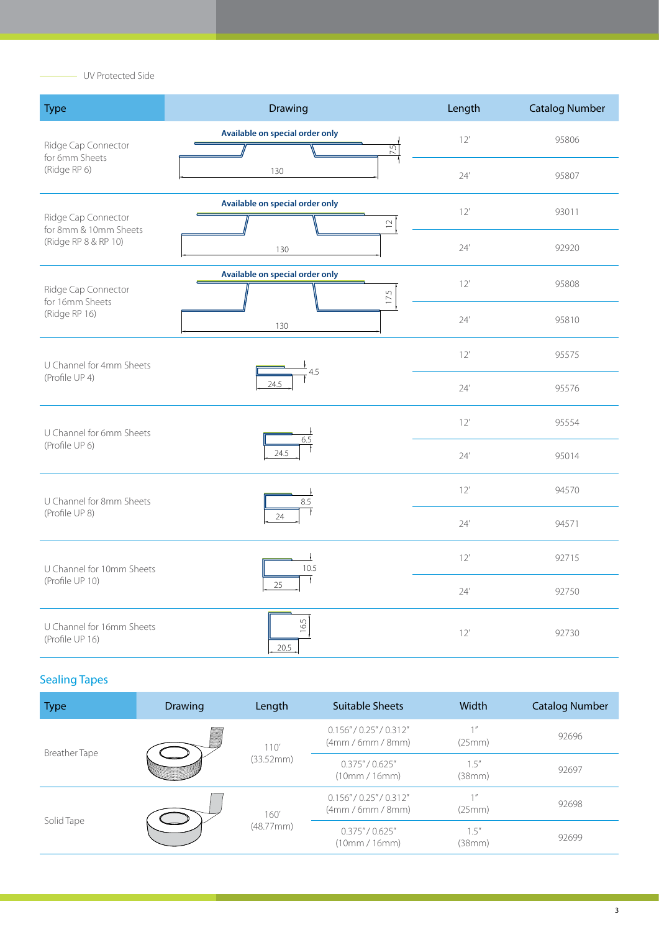- UV Protected Side

| <b>Type</b>                                                          | <b>Drawing</b>                                           | Length | <b>Catalog Number</b> |
|----------------------------------------------------------------------|----------------------------------------------------------|--------|-----------------------|
| Ridge Cap Connector<br>for 6mm Sheets<br>(Ridge RP 6)                | Available on special order only<br>$\overline{5}$<br>130 | 12'    | 95806                 |
|                                                                      |                                                          | 24'    | 95807                 |
| Ridge Cap Connector<br>for 8mm & 10mm Sheets<br>(Ridge RP 8 & RP 10) | Available on special order only<br>$\supseteq$           | 12'    | 93011                 |
|                                                                      | 130                                                      | 24'    | 92920                 |
| Ridge Cap Connector<br>for 16mm Sheets<br>(Ridge RP 16)              | Available on special order only<br>17.5                  | 12'    | 95808                 |
|                                                                      | 130                                                      | 24'    | 95810                 |
| U Channel for 4mm Sheets<br>(Profile UP 4)                           | 4.5<br>24.5                                              | 12'    | 95575                 |
|                                                                      |                                                          | 24'    | 95576                 |
| U Channel for 6mm Sheets<br>(Profile UP 6)                           | 6.5<br>24.5                                              | 12'    | 95554                 |
|                                                                      |                                                          | 24'    | 95014                 |
| U Channel for 8mm Sheets<br>(Profile UP 8)                           | 8.5                                                      | 12'    | 94570                 |
|                                                                      | $\mathbf{f}$<br>24                                       | 24'    | 94571                 |
| U Channel for 10mm Sheets<br>(Profile UP 10)                         | $\overline{\phantom{a}}$<br>10.5                         | 12'    | 92715                 |
|                                                                      | $\mathbf{f}$<br>25                                       | 24'    | 92750                 |
| U Channel for 16mm Sheets<br>(Profile UP 16)                         | 16.5<br>20.5                                             | 12'    | 92730                 |

## Sealing Tapes

| <b>Type</b>          | <b>Drawing</b> | Length            | <b>Suitable Sheets</b>                  | Width                        | <b>Catalog Number</b> |
|----------------------|----------------|-------------------|-----------------------------------------|------------------------------|-----------------------|
| <b>Breather Tape</b> |                | 110'<br>(33.52mm) | 0.156''/0.25''/0.312''<br>(4mm/6mm/8mm) | $1$ $\prime\prime$<br>(25mm) | 92696                 |
|                      |                |                   | 0.375''/0.625''<br>(10mm/16mm)          | 1.5''<br>(38mm)              | 92697                 |
| Solid Tape           |                | 160'<br>(48.77mm) | 0.156''/0.25''/0.312''<br>(4mm/6mm/8mm) | $1$ $\prime\prime$<br>(25mm) | 92698                 |
|                      |                |                   | 0.375''/0.625''<br>(10mm / 16mm)        | 1.5''<br>(38mm)              | 92699                 |